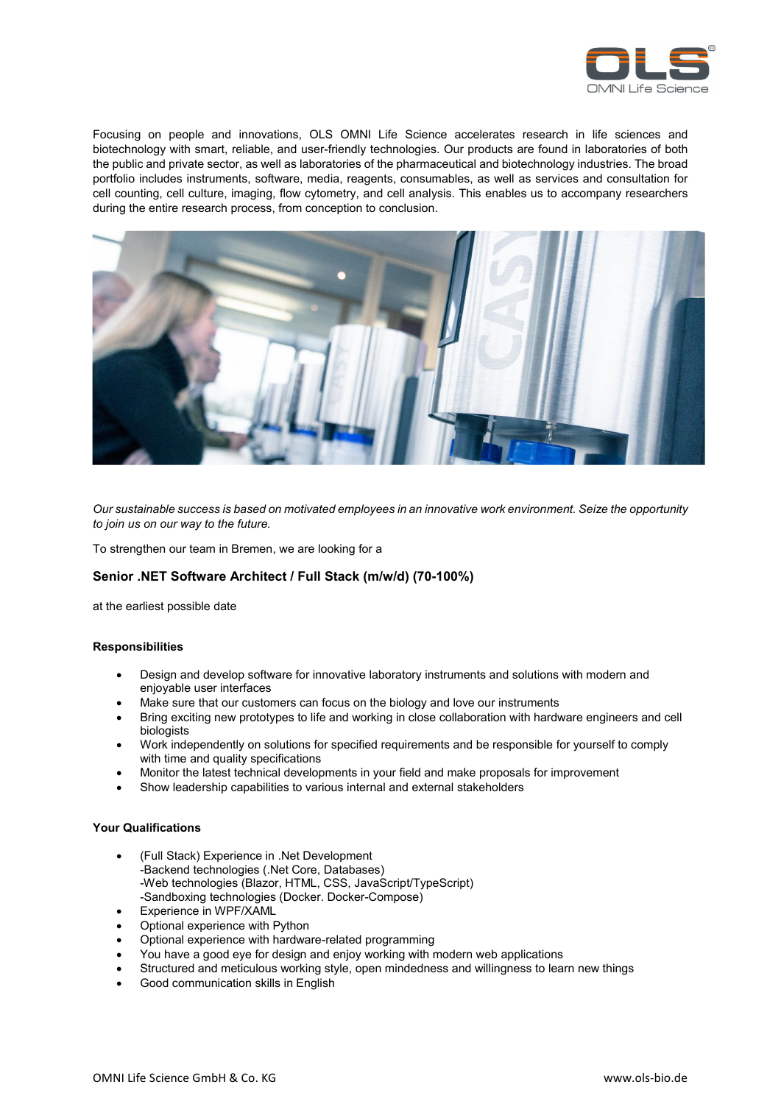

Focusing on people and innovations, OLS OMNI Life Science accelerates research in life sciences and biotechnology with smart, reliable, and user-friendly technologies. Our products are found in laboratories of both the public and private sector, as well as laboratories of the pharmaceutical and biotechnology industries. The broad portfolio includes instruments, software, media, reagents, consumables, as well as services and consultation for cell counting, cell culture, imaging, flow cytometry, and cell analysis. This enables us to accompany researchers during the entire research process, from conception to conclusion.



*Our sustainable success is based on motivated employees in an innovative work environment. Seize the opportunity to join us on our way to the future.*

To strengthen our team in Bremen, we are looking for a

# Senior .NET Software Architect / Full Stack (m/w/d) (70-100%)

at the earliest possible date

### Responsibilities

- Design and develop software for innovative laboratory instruments and solutions with modern and enjoyable user interfaces
- Make sure that our customers can focus on the biology and love our instruments
- Bring exciting new prototypes to life and working in close collaboration with hardware engineers and cell biologists
- Work independently on solutions for specified requirements and be responsible for yourself to comply with time and quality specifications
- Monitor the latest technical developments in your field and make proposals for improvement
- Show leadership capabilities to various internal and external stakeholders

### Your Qualifications

- (Full Stack) Experience in .Net Development -Backend technologies (.Net Core, Databases) -Web technologies (Blazor, HTML, CSS, JavaScript/TypeScript) -Sandboxing technologies (Docker. Docker-Compose)
- Experience in WPF/XAML
- Optional experience with Python
- Optional experience with hardware-related programming
- You have a good eye for design and enjoy working with modern web applications
- Structured and meticulous working style, open mindedness and willingness to learn new things
- Good communication skills in English